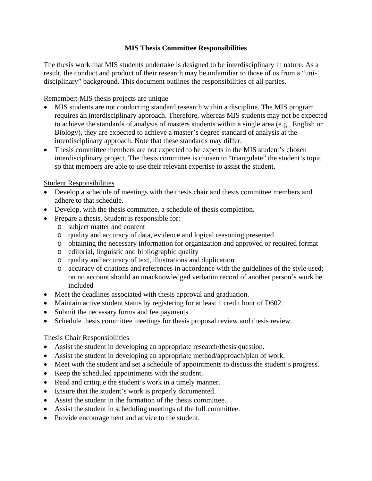# **MIS Thesis Committee Responsibilities**

The thesis work that MIS students undertake is designed to be interdisciplinary in nature. As a result, the conduct and product of their research may be unfamiliar to those of us from a "unidisciplinary" background. This document outlines the responsibilities of all parties.

## Remember: MIS thesis projects are unique

- MIS students are not conducting standard research within a discipline. The MIS program requires an interdisciplinary approach. Therefore, whereas MIS students may not be expected to achieve the standards of analysis of masters students within a single area (e.g., English or Biology), they are expected to achieve a master's degree standard of analysis at the interdisciplinary approach. Note that these standards may differ.
- Thesis committee members are not expected to be experts in the MIS student's chosen interdisciplinary project. The thesis committee is chosen to "triangulate" the student's topic so that members are able to use their relevant expertise to assist the student.

## Student Responsibilities

- Develop a schedule of meetings with the thesis chair and thesis committee members and adhere to that schedule.
- Develop, with the thesis committee, a schedule of thesis completion.
- Prepare a thesis. Student is responsible for:
	- o subject matter and content
	- o quality and accuracy of data, evidence and logical reasoning presented
	- o obtaining the necessary information for organization and approved or required format
	- o editorial, linguistic and bibliographic quality
	- o quality and accuracy of text, illustrations and duplication
	- o accuracy of citations and references in accordance with the guidelines of the style used; on no account should an unacknowledged verbatim record of another person's work be included
- Meet the deadlines associated with thesis approval and graduation.
- Maintain active student status by registering for at least 1 credit hour of D602.
- Submit the necessary forms and fee payments.
- Schedule thesis committee meetings for thesis proposal review and thesis review.

## Thesis Chair Responsibilities

- Assist the student in developing an appropriate research/thesis question.
- Assist the student in developing an appropriate method/approach/plan of work.
- Meet with the student and set a schedule of appointments to discuss the student's progress.
- Keep the scheduled appointments with the student.
- Read and critique the student's work in a timely manner.
- Ensure that the student's work is properly documented.
- Assist the student in the formation of the thesis committee.
- Assist the student in scheduling meetings of the full committee.
- Provide encouragement and advice to the student.